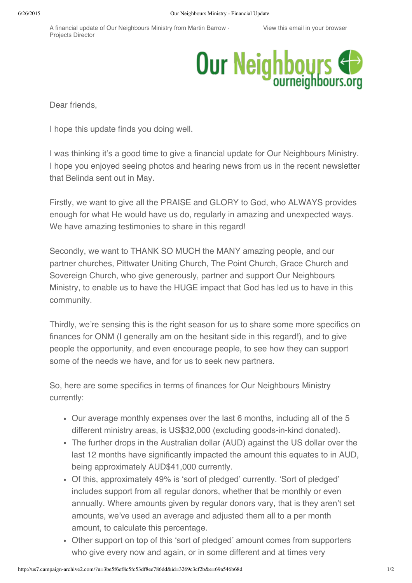A financial update of Our Neighbours Ministry from Martin Barrow - Projects Director



Dear friends.

I hope this update finds you doing well.

I was thinking it's a good time to give a financial update for Our Neighbours Ministry. I hope you enjoyed seeing photos and hearing news from us in the recent newsletter that Belinda sent out in May.

Firstly, we want to give all the PRAISE and GLORY to God, who ALWAYS provides enough for what He would have us do, regularly in amazing and unexpected ways. We have amazing testimonies to share in this regard!

Secondly, we want to THANK SO MUCH the MANY amazing people, and our partner churches, Pittwater Uniting Church, The Point Church, Grace Church and Sovereign Church, who give generously, partner and support Our Neighbours Ministry, to enable us to have the HUGE impact that God has led us to have in this community.

Thirdly, we're sensing this is the right season for us to share some more specifics on finances for ONM (I generally am on the hesitant side in this regard!), and to give people the opportunity, and even encourage people, to see how they can support some of the needs we have, and for us to seek new partners.

So, here are some specifics in terms of finances for Our Neighbours Ministry currently:

- Our average monthly expenses over the last 6 months, including all of the 5 different ministry areas, is US\$32,000 (excluding goods-in-kind donated).
- The further drops in the Australian dollar (AUD) against the US dollar over the last 12 months have significantly impacted the amount this equates to in AUD, being approximately AUD\$41,000 currently.
- Of this, approximately 49% is 'sort of pledged' currently. 'Sort of pledged' includes support from all regular donors, whether that be monthly or even annually. Where amounts given by regular donors vary, that is they aren't set amounts, we've used an average and adjusted them all to a per month amount, to calculate this percentage.
- Other support on top of this 'sort of pledged' amount comes from supporters who give every now and again, or in some different and at times very